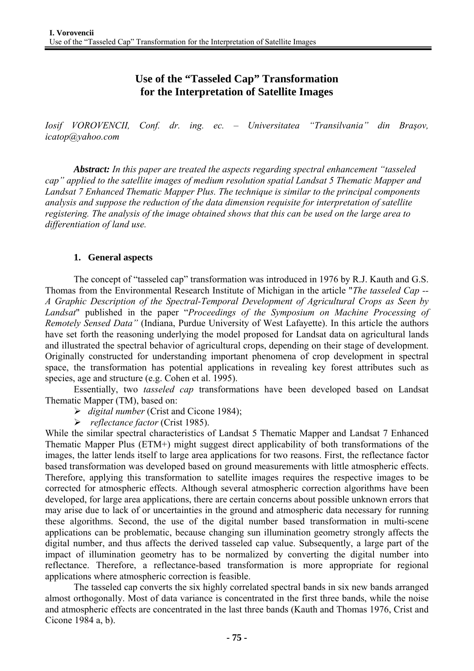**Use of the "Tasseled Cap" Transformation for the Interpretation of Satellite Images** 

*Iosif VOROVENCII, Conf. dr. ing. ec. – Universitatea "Transilvania" din Braşov, icatop@yahoo.com* 

*Abstract: In this paper are treated the aspects regarding spectral enhancement "tasseled cap" applied to the satellite images of medium resolution spatial Landsat 5 Thematic Mapper and Landsat 7 Enhanced Thematic Mapper Plus. The technique is similar to the principal components analysis and suppose the reduction of the data dimension requisite for interpretation of satellite registering. The analysis of the image obtained shows that this can be used on the large area to differentiation of land use.* 

### **1. General aspects**

The concept of "tasseled cap" transformation was introduced in 1976 by R.J. Kauth and G.S. Thomas from the Environmental Research Institute of Michigan in the article "*The tasseled Cap -- A Graphic Description of the Spectral-Temporal Development of Agricultural Crops as Seen by Landsat*" published in the paper "*Proceedings of the Symposium on Machine Processing of Remotely Sensed Data"* (Indiana, Purdue University of West Lafayette). In this article the authors have set forth the reasoning underlying the model proposed for Landsat data on agricultural lands and illustrated the spectral behavior of agricultural crops, depending on their stage of development. Originally constructed for understanding important phenomena of crop development in spectral space, the transformation has potential applications in revealing key forest attributes such as species, age and structure (e.g. Cohen et al. 1995).

 Essentially, two *tasseled cap* transformations have been developed based on Landsat Thematic Mapper (TM), based on:

- ¾ *digital number* (Crist and Cicone 1984);
- ¾ *reflectance factor* (Crist 1985).

While the similar spectral characteristics of Landsat 5 Thematic Mapper and Landsat 7 Enhanced Thematic Mapper Plus (ETM+) might suggest direct applicability of both transformations of the images, the latter lends itself to large area applications for two reasons. First, the reflectance factor based transformation was developed based on ground measurements with little atmospheric effects. Therefore, applying this transformation to satellite images requires the respective images to be corrected for atmospheric effects. Although several atmospheric correction algorithms have been developed, for large area applications, there are certain concerns about possible unknown errors that may arise due to lack of or uncertainties in the ground and atmospheric data necessary for running these algorithms. Second, the use of the digital number based transformation in multi-scene applications can be problematic, because changing sun illumination geometry strongly affects the digital number, and thus affects the derived tasseled cap value. Subsequently, a large part of the impact of illumination geometry has to be normalized by converting the digital number into reflectance. Therefore, a reflectance-based transformation is more appropriate for regional applications where atmospheric correction is feasible.

The tasseled cap converts the six highly correlated spectral bands in six new bands arranged almost orthogonally. Most of data variance is concentrated in the first three bands, while the noise and atmospheric effects are concentrated in the last three bands (Kauth and Thomas 1976, Crist and Cicone 1984 a, b).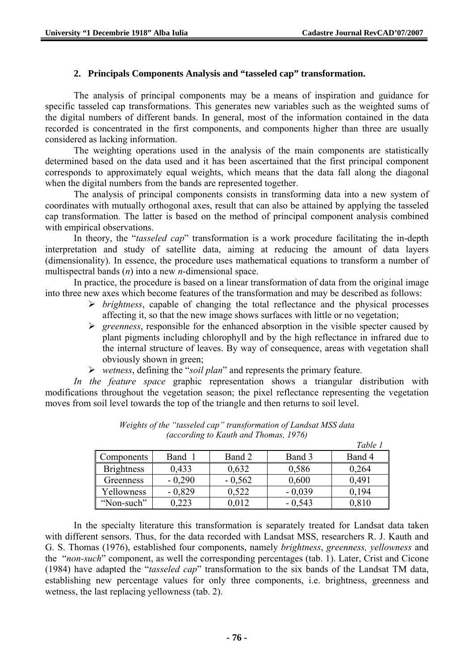# **2. Principals Components Analysis and "tasseled cap" transformation.**

The analysis of principal components may be a means of inspiration and guidance for specific tasseled cap transformations. This generates new variables such as the weighted sums of the digital numbers of different bands. In general, most of the information contained in the data recorded is concentrated in the first components, and components higher than three are usually considered as lacking information.

 The weighting operations used in the analysis of the main components are statistically determined based on the data used and it has been ascertained that the first principal component corresponds to approximately equal weights, which means that the data fall along the diagonal when the digital numbers from the bands are represented together.

 The analysis of principal components consists in transforming data into a new system of coordinates with mutually orthogonal axes, result that can also be attained by applying the tasseled cap transformation. The latter is based on the method of principal component analysis combined with empirical observations.

In theory, the "*tasseled cap*" transformation is a work procedure facilitating the in-depth interpretation and study of satellite data, aiming at reducing the amount of data layers (dimensionality). In essence, the procedure uses mathematical equations to transform a number of multispectral bands (*n*) into a new *n*-dimensional space.

In practice, the procedure is based on a linear transformation of data from the original image into three new axes which become features of the transformation and may be described as follows:

- ¾ *brightness*, capable of changing the total reflectance and the physical processes affecting it, so that the new image shows surfaces with little or no vegetation;
- ¾ *greenness*, responsible for the enhanced absorption in the visible specter caused by plant pigments including chlorophyll and by the high reflectance in infrared due to the internal structure of leaves. By way of consequence, areas with vegetation shall obviously shown in green;
- ¾ *wetness*, defining the "*soil plan*" and represents the primary feature.

*In the feature space* graphic representation shows a triangular distribution with modifications throughout the vegetation season; the pixel reflectance representing the vegetation moves from soil level towards the top of the triangle and then returns to soil level.

|                   |          |          |          | Table 1 |
|-------------------|----------|----------|----------|---------|
| Components        | Band     | Band 2   | Band 3   | Band 4  |
| <b>Brightness</b> | 0,433    | 0,632    | 0,586    | 0,264   |
| Greenness         | $-0,290$ | $-0,562$ | 0,600    | 0,491   |
| Yellowness        | $-0,829$ | 0.522    | $-0,039$ | 0.194   |
| "Non-such"        | 0,223    | 0,012    | $-0,543$ | 0,810   |

*Weights of the "tasseled cap" transformation of Landsat MSS data (according to Kauth and Thomas, 1976)* 

In the specialty literature this transformation is separately treated for Landsat data taken with different sensors. Thus, for the data recorded with Landsat MSS, researchers R. J. Kauth and G. S. Thomas (1976), established four components, namely *brightness*, *greenness, yellowness* and the "*non-such*" component, as well the corresponding percentages (tab. 1). Later, Crist and Cicone (1984) have adapted the "*tasseled cap*" transformation to the six bands of the Landsat TM data, establishing new percentage values for only three components, i.e. brightness, greenness and wetness, the last replacing yellowness (tab. 2).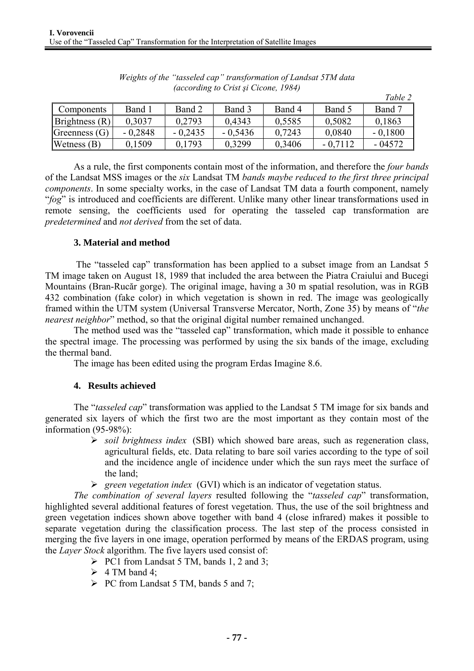|                      |           |           |           |        |           | Table 2   |
|----------------------|-----------|-----------|-----------|--------|-----------|-----------|
| Components           | Band 1    | Band 2    | Band 3    | Band 4 | Band 5    | Band 7    |
| Brightness(R)        | 0.3037    | 0,2793    | 0.4343    | 0.5585 | 0.5082    | 0,1863    |
| Greenness $(G)$      | $-0.2848$ | $-0,2435$ | $-0.5436$ | 0.7243 | 0,0840    | $-0.1800$ |
| <b>Wetness</b> $(B)$ | 0.1509    | 0.1793    | 0.3299    | 0.3406 | $-0.7112$ | $-04572$  |

*Weights of the "tasseled cap" transformation of Landsat 5TM data (according to Crist şi Cicone, 1984)* 

As a rule, the first components contain most of the information, and therefore the *four bands* of the Landsat MSS images or the *six* Landsat TM *bands maybe reduced to the first three principal components*. In some specialty works, in the case of Landsat TM data a fourth component, namely "*fog*" is introduced and coefficients are different. Unlike many other linear transformations used in remote sensing, the coefficients used for operating the tasseled cap transformation are *predetermined* and *not derived* from the set of data.

# **3. Material and method**

The "tasseled cap" transformation has been applied to a subset image from an Landsat 5 TM image taken on August 18, 1989 that included the area between the Piatra Craiului and Bucegi Mountains (Bran-Rucăr gorge). The original image, having a 30 m spatial resolution, was in RGB 432 combination (fake color) in which vegetation is shown in red. The image was geologically framed within the UTM system (Universal Transverse Mercator, North, Zone 35) by means of "*the nearest neighbor*" method, so that the original digital number remained unchanged.

The method used was the "tasseled cap" transformation, which made it possible to enhance the spectral image. The processing was performed by using the six bands of the image, excluding the thermal band.

The image has been edited using the program Erdas Imagine 8.6.

#### **4. Results achieved**

The "*tasseled cap*" transformation was applied to the Landsat 5 TM image for six bands and generated six layers of which the first two are the most important as they contain most of the information (95-98%):

- ¾ *soil brightness index* (SBI) which showed bare areas, such as regeneration class, agricultural fields, etc. Data relating to bare soil varies according to the type of soil and the incidence angle of incidence under which the sun rays meet the surface of the land;
- ¾ *green vegetation index* (GVI) which is an indicator of vegetation status.

*The combination of several layers* resulted following the "*tasseled cap*" transformation, highlighted several additional features of forest vegetation. Thus, the use of the soil brightness and green vegetation indices shown above together with band 4 (close infrared) makes it possible to separate vegetation during the classification process. The last step of the process consisted in merging the five layers in one image, operation performed by means of the ERDAS program, using the *Layer Stock* algorithm. The five layers used consist of:

- $\triangleright$  PC1 from Landsat 5 TM, bands 1, 2 and 3;
- $\geq 4$  TM band 4;
- $\triangleright$  PC from Landsat 5 TM, bands 5 and 7;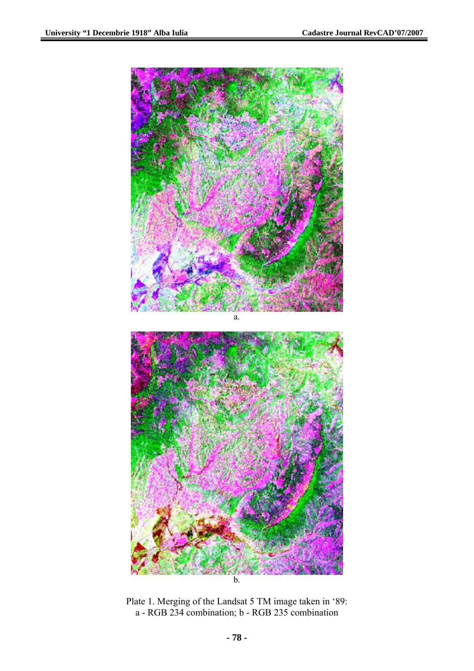

Plate 1. Merging of the Landsat 5 TM image taken in '89: a - RGB 234 combination; b - RGB 235 combination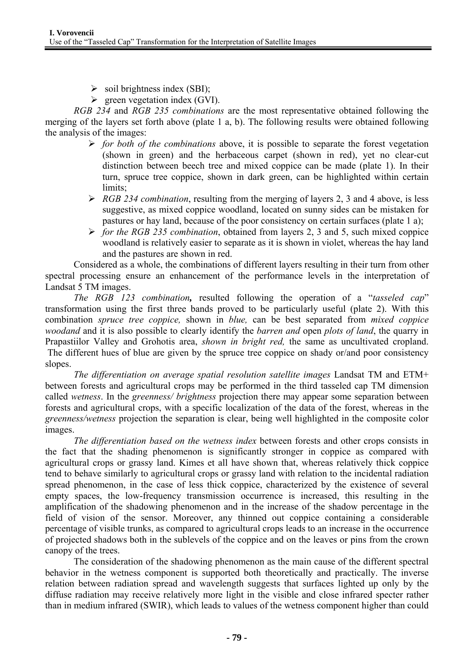- $\triangleright$  soil brightness index (SBI);
- $\triangleright$  green vegetation index (GVI).

*RGB 234* and *RGB 235 combinations* are the most representative obtained following the merging of the layers set forth above (plate 1 a, b). The following results were obtained following the analysis of the images:

- ¾ *for both of the combinations* above, it is possible to separate the forest vegetation (shown in green) and the herbaceous carpet (shown in red), yet no clear-cut distinction between beech tree and mixed coppice can be made (plate 1). In their turn, spruce tree coppice, shown in dark green, can be highlighted within certain limits;
- $\triangleright$  *RGB 234 combination*, resulting from the merging of layers 2, 3 and 4 above, is less suggestive, as mixed coppice woodland, located on sunny sides can be mistaken for pastures or hay land, because of the poor consistency on certain surfaces (plate 1 a);
- ¾ *for the RGB 235 combination*, obtained from layers 2, 3 and 5, such mixed coppice woodland is relatively easier to separate as it is shown in violet, whereas the hay land and the pastures are shown in red.

Considered as a whole, the combinations of different layers resulting in their turn from other spectral processing ensure an enhancement of the performance levels in the interpretation of Landsat 5 TM images.

*The RGB 123 combination,* resulted following the operation of a "*tasseled cap*" transformation using the first three bands proved to be particularly useful (plate 2). With this combination *spruce tree coppice,* shown in *blue,* can be best separated from *mixed coppice woodand* and it is also possible to clearly identify the *barren and* open *plots of land*, the quarry in Prapastiilor Valley and Grohotis area, *shown in bright red,* the same as uncultivated cropland. The different hues of blue are given by the spruce tree coppice on shady or/and poor consistency slopes.

*The differentiation on average spatial resolution satellite images* Landsat TM and ETM+ between forests and agricultural crops may be performed in the third tasseled cap TM dimension called *wetness*. In the *greenness/ brightness* projection there may appear some separation between forests and agricultural crops, with a specific localization of the data of the forest, whereas in the *greenness/wetness* projection the separation is clear, being well highlighted in the composite color images.

*The differentiation based on the wetness index* between forests and other crops consists in the fact that the shading phenomenon is significantly stronger in coppice as compared with agricultural crops or grassy land. Kimes et all have shown that, whereas relatively thick coppice tend to behave similarly to agricultural crops or grassy land with relation to the incidental radiation spread phenomenon, in the case of less thick coppice, characterized by the existence of several empty spaces, the low-frequency transmission occurrence is increased, this resulting in the amplification of the shadowing phenomenon and in the increase of the shadow percentage in the field of vision of the sensor. Moreover, any thinned out coppice containing a considerable percentage of visible trunks, as compared to agricultural crops leads to an increase in the occurrence of projected shadows both in the sublevels of the coppice and on the leaves or pins from the crown canopy of the trees.

The consideration of the shadowing phenomenon as the main cause of the different spectral behavior in the wetness component is supported both theoretically and practically. The inverse relation between radiation spread and wavelength suggests that surfaces lighted up only by the diffuse radiation may receive relatively more light in the visible and close infrared specter rather than in medium infrared (SWIR), which leads to values of the wetness component higher than could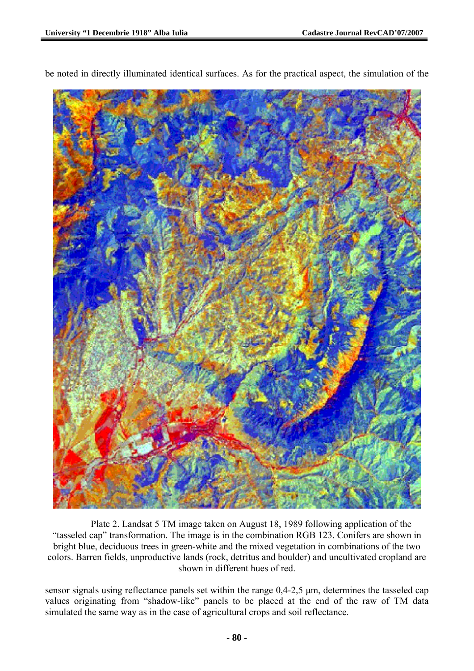

be noted in directly illuminated identical surfaces. As for the practical aspect, the simulation of the

Plate 2. Landsat 5 TM image taken on August 18, 1989 following application of the "tasseled cap" transformation. The image is in the combination RGB 123. Conifers are shown in bright blue, deciduous trees in green-white and the mixed vegetation in combinations of the two colors. Barren fields, unproductive lands (rock, detritus and boulder) and uncultivated cropland are shown in different hues of red.

sensor signals using reflectance panels set within the range 0,4-2,5 μm, determines the tasseled cap values originating from "shadow-like" panels to be placed at the end of the raw of TM data simulated the same way as in the case of agricultural crops and soil reflectance.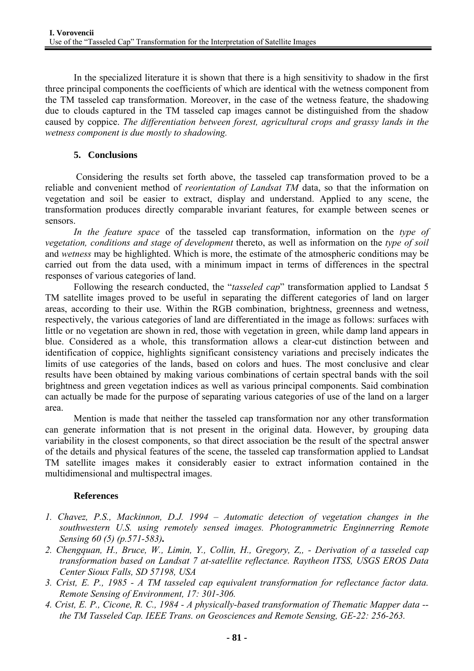In the specialized literature it is shown that there is a high sensitivity to shadow in the first three principal components the coefficients of which are identical with the wetness component from the TM tasseled cap transformation. Moreover, in the case of the wetness feature, the shadowing due to clouds captured in the TM tasseled cap images cannot be distinguished from the shadow caused by coppice. *The differentiation between forest, agricultural crops and grassy lands in the wetness component is due mostly to shadowing.* 

# **5. Conclusions**

Considering the results set forth above, the tasseled cap transformation proved to be a reliable and convenient method of *reorientation of Landsat TM* data, so that the information on vegetation and soil be easier to extract, display and understand. Applied to any scene, the transformation produces directly comparable invariant features, for example between scenes or sensors.

*In the feature space* of the tasseled cap transformation, information on the *type of vegetation, conditions and stage of development* thereto, as well as information on the *type of soil*  and *wetness* may be highlighted. Which is more, the estimate of the atmospheric conditions may be carried out from the data used, with a minimum impact in terms of differences in the spectral responses of various categories of land.

Following the research conducted, the "*tasseled cap*" transformation applied to Landsat 5 TM satellite images proved to be useful in separating the different categories of land on larger areas, according to their use. Within the RGB combination, brightness, greenness and wetness, respectively, the various categories of land are differentiated in the image as follows: surfaces with little or no vegetation are shown in red, those with vegetation in green, while damp land appears in blue. Considered as a whole, this transformation allows a clear-cut distinction between and identification of coppice, highlights significant consistency variations and precisely indicates the limits of use categories of the lands, based on colors and hues. The most conclusive and clear results have been obtained by making various combinations of certain spectral bands with the soil brightness and green vegetation indices as well as various principal components. Said combination can actually be made for the purpose of separating various categories of use of the land on a larger area.

Mention is made that neither the tasseled cap transformation nor any other transformation can generate information that is not present in the original data. However, by grouping data variability in the closest components, so that direct association be the result of the spectral answer of the details and physical features of the scene, the tasseled cap transformation applied to Landsat TM satellite images makes it considerably easier to extract information contained in the multidimensional and multispectral images.

# **References**

- *1. Chavez, P.S., Mackinnon, D.J. 1994 Automatic detection of vegetation changes in the southwestern U.S. using remotely sensed images. Photogrammetric Enginnerring Remote Sensing 60 (5) (p.571-583).*
- *2. Chengquan, H., Bruce, W., Limin, Y., Collin, H., Gregory, Z,, Derivation of a tasseled cap transformation based on Landsat 7 at-satellite reflectance. Raytheon ITSS, USGS EROS Data Center Sioux Falls, SD 57198, USA*
- *3. Crist, E. P., 1985 A TM tasseled cap equivalent transformation for reflectance factor data. Remote Sensing of Environment, 17: 301-306.*
- *4. Crist, E. P., Cicone, R. C., 1984 A physically-based transformation of Thematic Mapper data the TM Tasseled Cap. IEEE Trans. on Geosciences and Remote Sensing, GE-22: 256-263.*